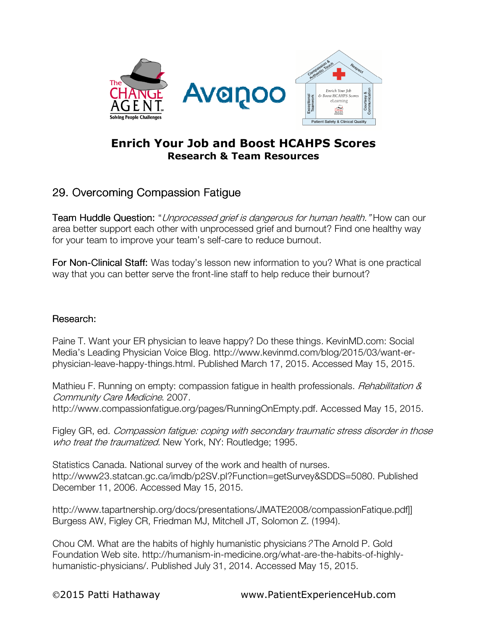

## Enrich Your Job and Boost HCAHPS Scores Research & Team Resources

## 29. Overcoming Compassion Fatigue

Team Huddle Question: "Unprocessed grief is dangerous for human health." How can our area better support each other with unprocessed grief and burnout? Find one healthy way for your team to improve your team's self-care to reduce burnout.

For Non-Clinical Staff: Was today's lesson new information to you? What is one practical way that you can better serve the front-line staff to help reduce their burnout?

## Research:

Paine T. Want your ER physician to leave happy? Do these things. KevinMD.com: Social Media's Leading Physician Voice Blog. http://www.kevinmd.com/blog/2015/03/want-erphysician-leave-happy-things.html. Published March 17, 2015. Accessed May 15, 2015.

Mathieu F. Running on empty: compassion fatigue in health professionals. *Rehabilitation &* Community Care Medicine. 2007.

http://www.compassionfatigue.org/pages/RunningOnEmpty.pdf. Accessed May 15, 2015.

Figley GR, ed. Compassion fatigue: coping with secondary traumatic stress disorder in those who treat the traumatized. New York, NY: Routledge; 1995.

Statistics Canada. National survey of the work and health of nurses. http://www23.statcan.gc.ca/imdb/p2SV.pl?Function=getSurvey&SDDS=5080. Published December 11, 2006. Accessed May 15, 2015.

http://www.tapartnership.org/docs/presentations/JMATE2008/compassionFatique.pdf]] Burgess AW, Figley CR, Friedman MJ, Mitchell JT, Solomon Z. (1994).

Chou CM. What are the habits of highly humanistic physicians? The Arnold P. Gold Foundation Web site. http://humanism-in-medicine.org/what-are-the-habits-of-highlyhumanistic-physicians/. Published July 31, 2014. Accessed May 15, 2015.